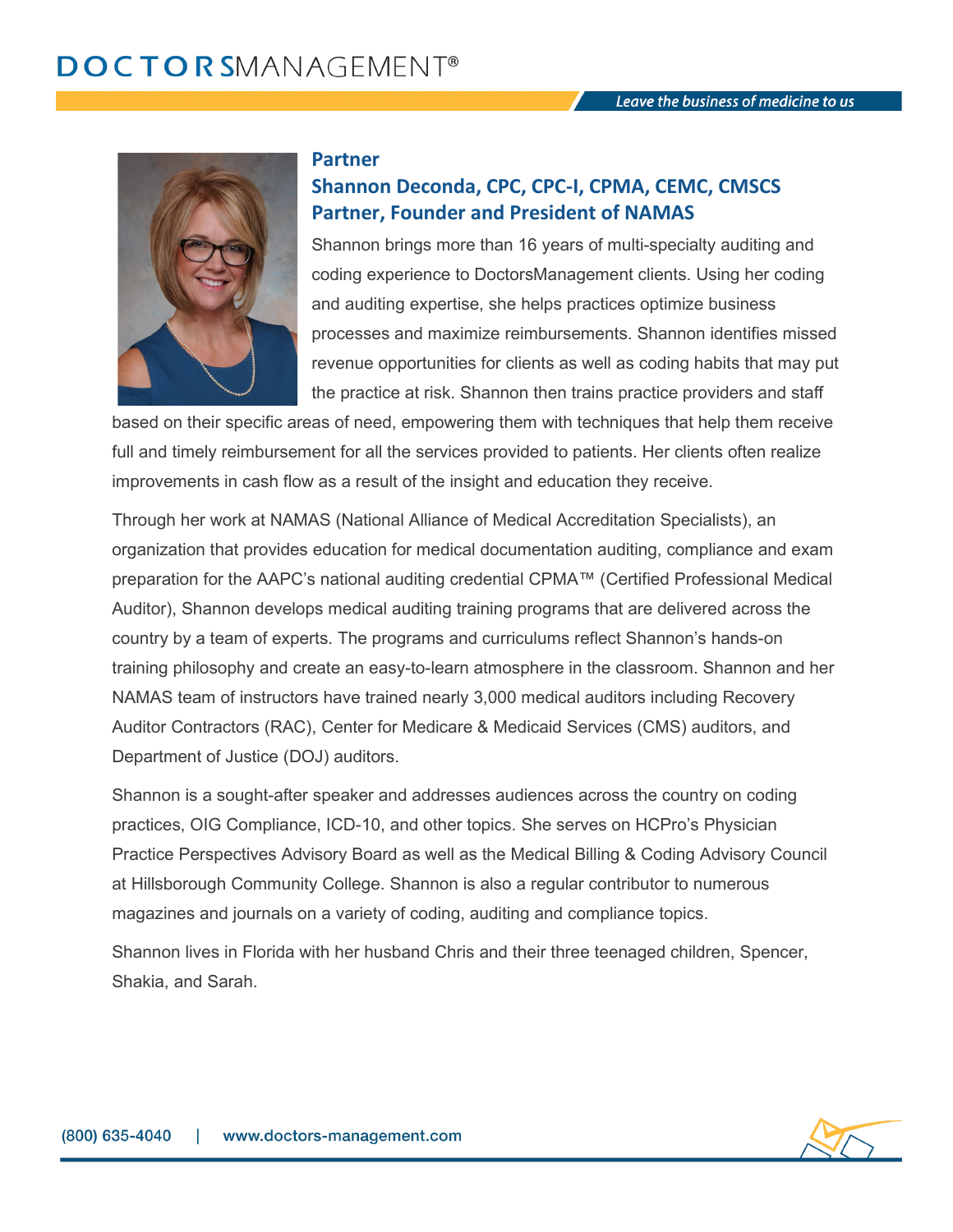

#### **Partner**

# **Shannon Deconda, CPC, CPC-I, CPMA, CEMC, CMSCS Partner, Founder and President of NAMAS**

Shannon brings more than 16 years of multi-specialty auditing and coding experience to DoctorsManagement clients. Using her coding and auditing expertise, she helps practices optimize business processes and maximize reimbursements. Shannon identifies missed revenue opportunities for clients as well as coding habits that may put the practice at risk. Shannon then trains practice providers and staff

based on their specific areas of need, empowering them with techniques that help them receive full and timely reimbursement for all the services provided to patients. Her clients often realize improvements in cash flow as a result of the insight and education they receive.

Through her work at NAMAS (National Alliance of Medical Accreditation Specialists), an organization that provides education for medical documentation auditing, compliance and exam preparation for the AAPC's national auditing credential CPMA™ (Certified Professional Medical Auditor), Shannon develops medical auditing training programs that are delivered across the country by a team of experts. The programs and curriculums reflect Shannon's hands-on training philosophy and create an easy-to-learn atmosphere in the classroom. Shannon and her NAMAS team of instructors have trained nearly 3,000 medical auditors including Recovery Auditor Contractors (RAC), Center for Medicare & Medicaid Services (CMS) auditors, and Department of Justice (DOJ) auditors.

Shannon is a sought-after speaker and addresses audiences across the country on coding practices, OIG Compliance, ICD-10, and other topics. She serves on HCPro's Physician Practice Perspectives Advisory Board as well as the Medical Billing & Coding Advisory Council at Hillsborough Community College. Shannon is also a regular contributor to numerous magazines and journals on a variety of coding, auditing and compliance topics.

Shannon lives in Florida with her husband Chris and their three teenaged children, Spencer, Shakia, and Sarah.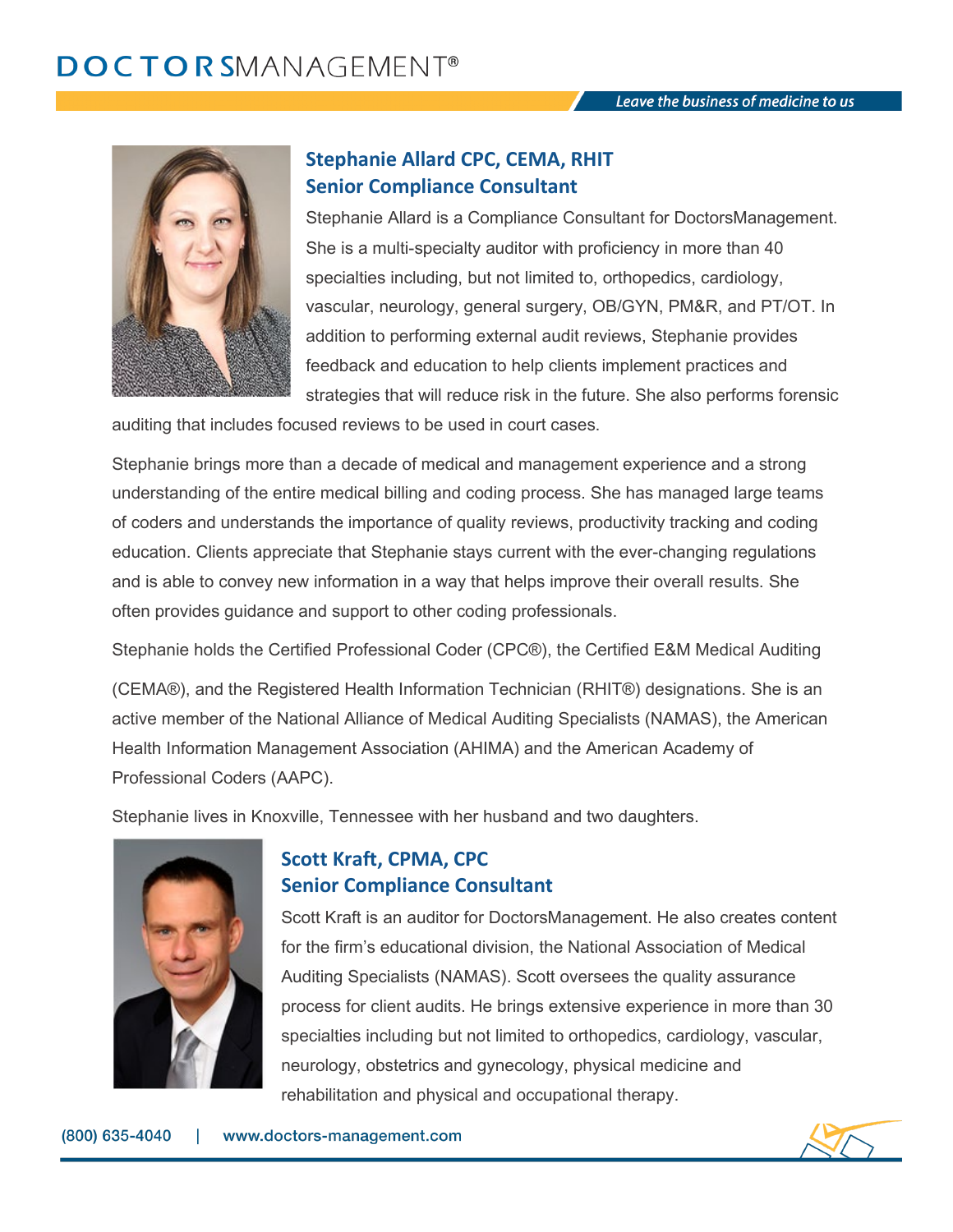

### **Stephanie Allard CPC, CEMA, RHIT Senior Compliance Consultant**

Stephanie Allard is a Compliance Consultant for DoctorsManagement. She is a multi-specialty auditor with proficiency in more than 40 specialties including, but not limited to, orthopedics, cardiology, vascular, neurology, general surgery, OB/GYN, PM&R, and PT/OT. In addition to performing external audit reviews, Stephanie provides feedback and education to help clients implement practices and strategies that will reduce risk in the future. She also performs forensic

auditing that includes focused reviews to be used in court cases.

Stephanie brings more than a decade of medical and management experience and a strong understanding of the entire medical billing and coding process. She has managed large teams of coders and understands the importance of quality reviews, productivity tracking and coding education. Clients appreciate that Stephanie stays current with the ever-changing regulations and is able to convey new information in a way that helps improve their overall results. She often provides guidance and support to other coding professionals.

Stephanie holds the Certified Professional Coder (CPC®), the Certified E&M Medical Auditing

(CEMA®), and the Registered Health Information Technician (RHIT®) designations. She is an active member of the National Alliance of Medical Auditing Specialists (NAMAS), the American Health Information Management Association (AHIMA) and the American Academy of Professional Coders (AAPC).

Stephanie lives in Knoxville, Tennessee with her husband and two daughters.



# **Scott Kraft, CPMA, CPC Senior Compliance Consultant**

Scott Kraft is an auditor for DoctorsManagement. He also creates content for the firm's educational division, the National Association of Medical Auditing Specialists (NAMAS). Scott oversees the quality assurance process for client audits. He brings extensive experience in more than 30 specialties including but not limited to orthopedics, cardiology, vascular, neurology, obstetrics and gynecology, physical medicine and rehabilitation and physical and occupational therapy.

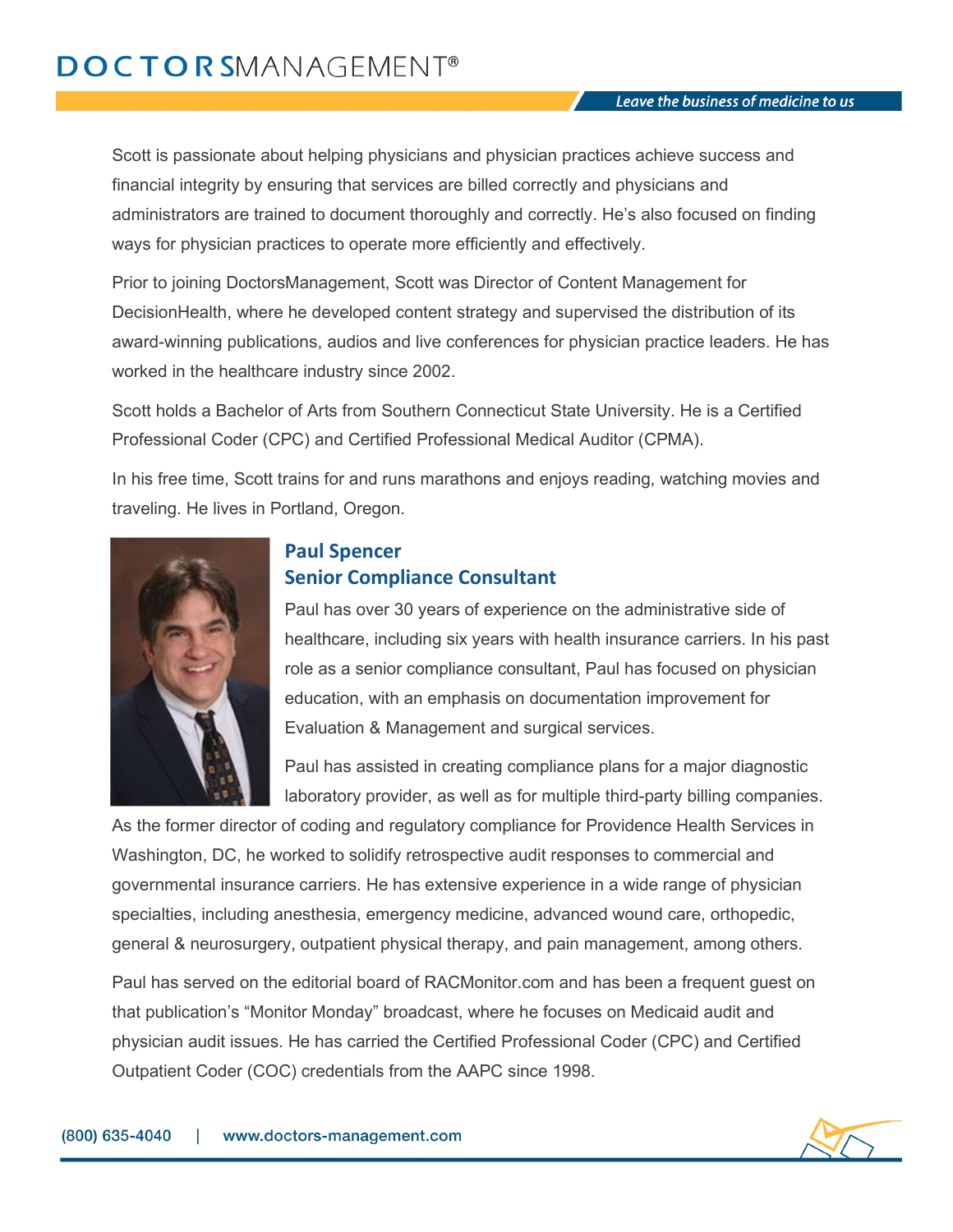# **DOCTORSMANAGEMENT®**

Scott is passionate about helping physicians and physician practices achieve success and financial integrity by ensuring that services are billed correctly and physicians and administrators are trained to document thoroughly and correctly. He's also focused on finding ways for physician practices to operate more efficiently and effectively.

Prior to joining DoctorsManagement, Scott was Director of Content Management for DecisionHealth, where he developed content strategy and supervised the distribution of its award-winning publications, audios and live conferences for physician practice leaders. He has worked in the healthcare industry since 2002.

Scott holds a Bachelor of Arts from Southern Connecticut State University. He is a Certified Professional Coder (CPC) and Certified Professional Medical Auditor (CPMA).

In his free time, Scott trains for and runs marathons and enjoys reading, watching movies and traveling. He lives in Portland, Oregon.



# **Paul Spencer Senior Compliance Consultant**

Paul has over 30 years of experience on the administrative side of healthcare, including six years with health insurance carriers. In his past role as a senior compliance consultant, Paul has focused on physician education, with an emphasis on documentation improvement for Evaluation & Management and surgical services.

Paul has assisted in creating compliance plans for a major diagnostic laboratory provider, as well as for multiple third-party billing companies.

As the former director of coding and regulatory compliance for Providence Health Services in Washington, DC, he worked to solidify retrospective audit responses to commercial and governmental insurance carriers. He has extensive experience in a wide range of physician specialties, including anesthesia, emergency medicine, advanced wound care, orthopedic, general & neurosurgery, outpatient physical therapy, and pain management, among others.

Paul has served on the editorial board of RACMonitor.com and has been a frequent guest on that publication's "Monitor Monday" broadcast, where he focuses on Medicaid audit and physician audit issues. He has carried the Certified Professional Coder (CPC) and Certified Outpatient Coder (COC) credentials from the AAPC since 1998.

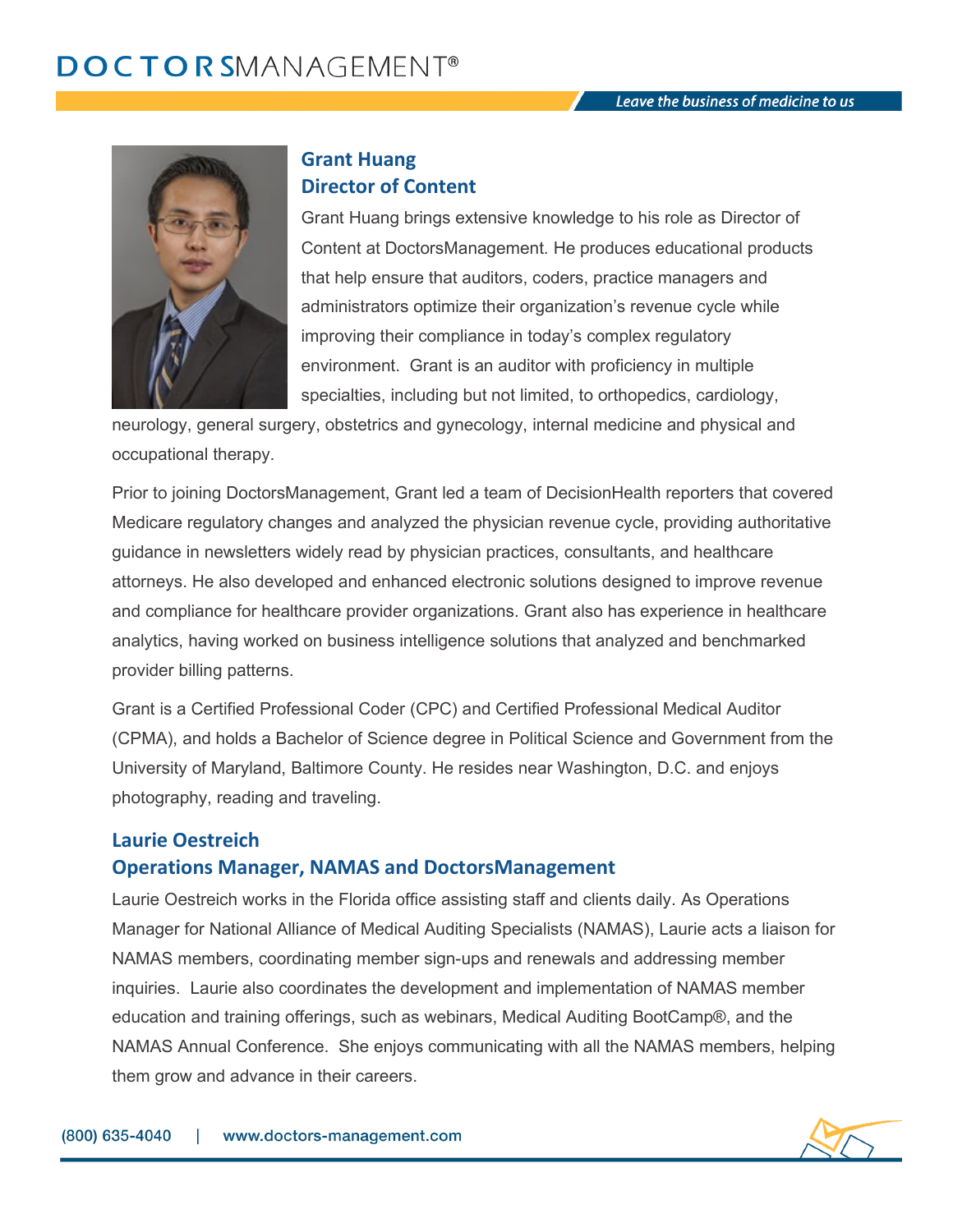

### **Grant Huang Director of Content**

Grant Huang brings extensive knowledge to his role as Director of Content at DoctorsManagement. He produces educational products that help ensure that auditors, coders, practice managers and administrators optimize their organization's revenue cycle while improving their compliance in today's complex regulatory environment. Grant is an auditor with proficiency in multiple specialties, including but not limited, to orthopedics, cardiology,

neurology, general surgery, obstetrics and gynecology, internal medicine and physical and occupational therapy.

Prior to joining DoctorsManagement, Grant led a team of DecisionHealth reporters that covered Medicare regulatory changes and analyzed the physician revenue cycle, providing authoritative guidance in newsletters widely read by physician practices, consultants, and healthcare attorneys. He also developed and enhanced electronic solutions designed to improve revenue and compliance for healthcare provider organizations. Grant also has experience in healthcare analytics, having worked on business intelligence solutions that analyzed and benchmarked provider billing patterns.

Grant is a Certified Professional Coder (CPC) and Certified Professional Medical Auditor (CPMA), and holds a Bachelor of Science degree in Political Science and Government from the University of Maryland, Baltimore County. He resides near Washington, D.C. and enjoys photography, reading and traveling.

# **Laurie Oestreich Operations Manager, NAMAS and DoctorsManagement**

Laurie Oestreich works in the Florida office assisting staff and clients daily. As Operations Manager for National Alliance of Medical Auditing Specialists (NAMAS), Laurie acts a liaison for NAMAS members, coordinating member sign-ups and renewals and addressing member inquiries. Laurie also coordinates the development and implementation of NAMAS member education and training offerings, such as webinars, Medical Auditing BootCamp®, and the NAMAS Annual Conference. She enjoys communicating with all the NAMAS members, helping them grow and advance in their careers.